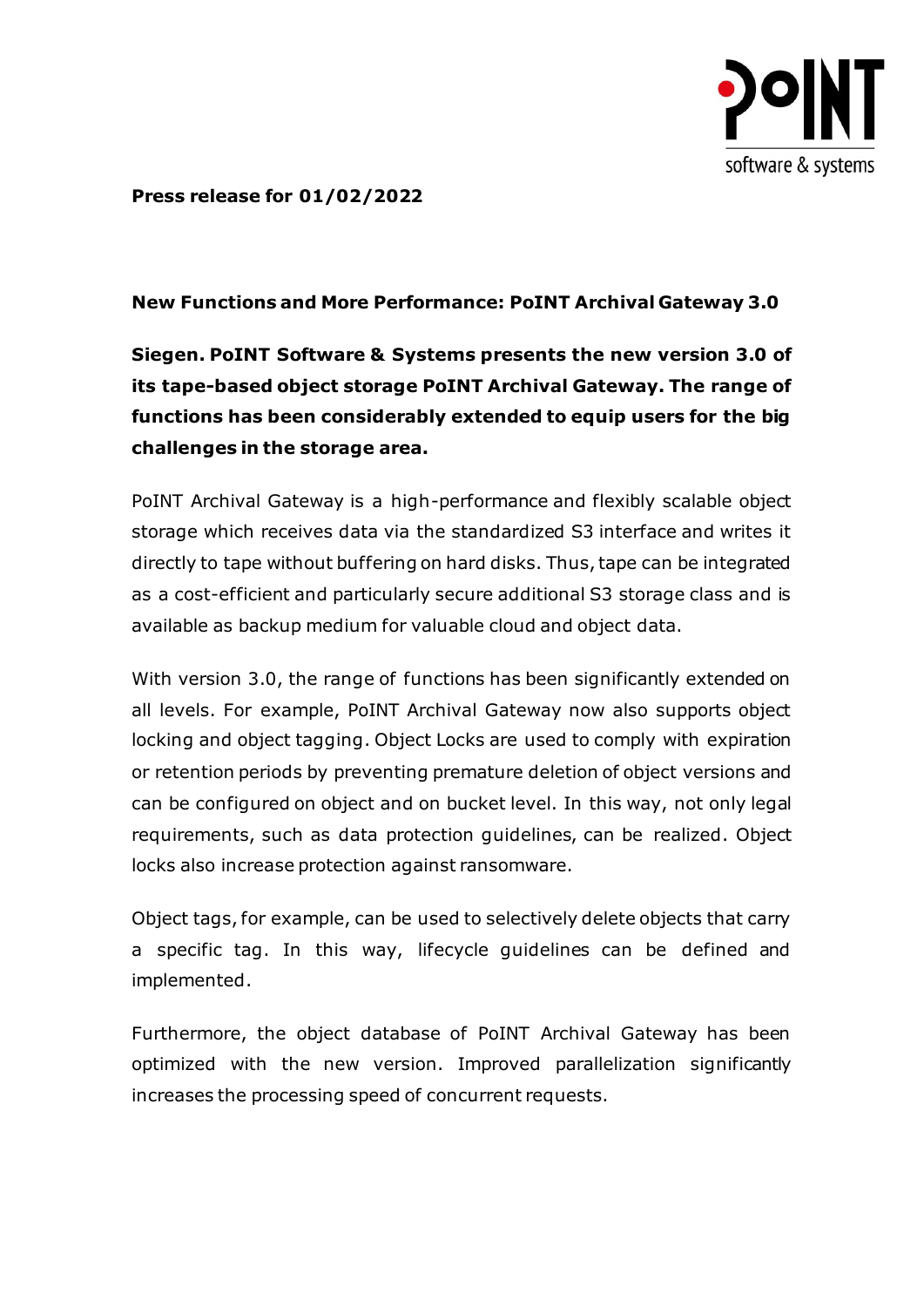

**Press release for 01/02/2022**

## **New Functions and More Performance: PoINT Archival Gateway 3.0**

**Siegen. PoINT Software & Systems presents the new version 3.0 of its tape-based object storage PoINT Archival Gateway. The range of functions has been considerably extended to equip users for the big challenges in the storage area.**

PoINT Archival Gateway is a high-performance and flexibly scalable object storage which receives data via the standardized S3 interface and writes it directly to tape without buffering on hard disks. Thus, tape can be integrated as a cost-efficient and particularly secure additional S3 storage class and is available as backup medium for valuable cloud and object data.

With version 3.0, the range of functions has been significantly extended on all levels. For example, PoINT Archival Gateway now also supports object locking and object tagging. Object Locks are used to comply with expiration or retention periods by preventing premature deletion of object versions and can be configured on object and on bucket level. In this way, not only legal requirements, such as data protection guidelines, can be realized. Object locks also increase protection against ransomware.

Object tags, for example, can be used to selectively delete objects that carry a specific tag. In this way, lifecycle guidelines can be defined and implemented.

Furthermore, the object database of PoINT Archival Gateway has been optimized with the new version. Improved parallelization significantly increases the processing speed of concurrent requests.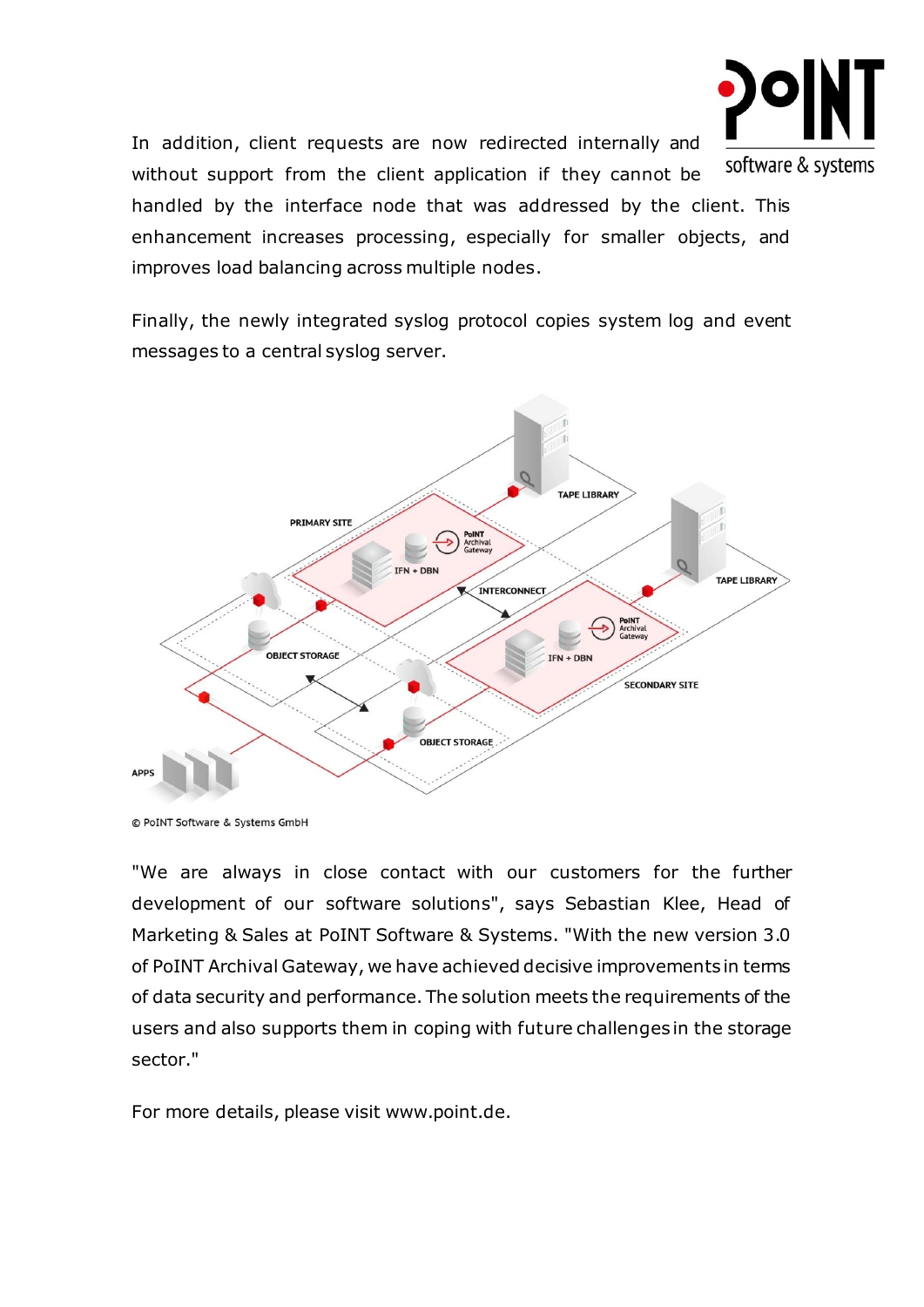

In addition, client requests are now redirected internally and without support from the client application if they cannot be handled by the interface node that was addressed by the client. This enhancement increases processing, especially for smaller objects, and improves load balancing across multiple nodes.

Finally, the newly integrated syslog protocol copies system log and event messages to a central syslog server.



<sup>©</sup> PoINT Software & Systems GmbH

"We are always in close contact with our customers for the further development of our software solutions", says Sebastian Klee, Head of Marketing & Sales at PoINT Software & Systems. "With the new version 3.0 of PoINT Archival Gateway, we have achieved decisive improvements in terms of data security and performance. The solution meets the requirements of the users and also supports them in coping with future challenges in the storage sector."

For more details, please visit www.point.de.